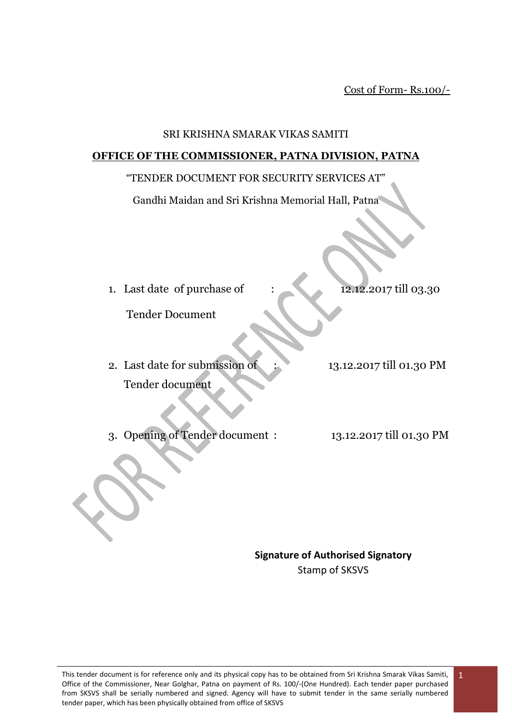Cost of Form- Rs.100/-

#### SRI KRISHNA SMARAK VIKAS SAMITI

#### **OFFICE OF THE COMMISSIONER, PATNA DIVISION, PATNA**

#### "TENDER DOCUMENT FOR SECURITY SERVICES AT"

Gandhi Maidan and Sri Krishna Memorial Hall, Patna

1. Last date of purchase of : 12.12.2017 till 03.30

Tender Document

- 2. Last date for submission of : 13.12.2017 till 01.30 PM Tender document
- 3. Opening of Tender document : 13.12.2017 till 01.30 PM

**Signature of Authorised Signatory** Stamp of SKSVS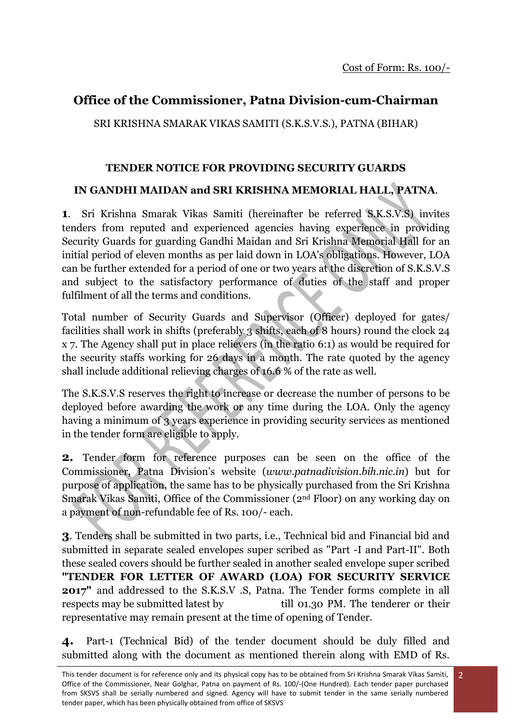2

## **Office of the Commissioner, Patna Division-cum-Chairman**

SRI KRISHNA SMARAK VIKAS SAMITI (S.K.S.V.S.), PATNA (BIHAR)

### **TENDER NOTICE FOR PROVIDING SECURITY GUARDS**

### **IN GANDHI MAIDAN and SRI KRISHNA MEMORIAL HALL, PATNA**.

**1**. Sri Krishna Smarak Vikas Samiti (hereinafter be referred S.K.S.V.S) invites tenders from reputed and experienced agencies having experience in providing Security Guards for guarding Gandhi Maidan and Sri Krishna Memorial Hall for an initial period of eleven months as per laid down in LOA's obligations. However, LOA can be further extended for a period of one or two years at the discretion of S.K.S.V.S and subject to the satisfactory performance of duties of the staff and proper fulfilment of all the terms and conditions.

Total number of Security Guards and Supervisor (Officer) deployed for gates/ facilities shall work in shifts (preferably 3 shifts, each of 8 hours) round the clock 24 x 7. The Agency shall put in place relievers (in the ratio 6:1) as would be required for the security staffs working for 26 days in a month. The rate quoted by the agency shall include additional relieving charges of 16.6 % of the rate as well.

The S.K.S.V.S reserves the right to increase or decrease the number of persons to be deployed before awarding the work or any time during the LOA. Only the agency having a minimum of 3 years experience in providing security services as mentioned in the tender form are eligible to apply.

**2.** Tender form for reference purposes can be seen on the office of the Commissioner, Patna Division's website (*www.patnadivision.bih.nic.in*) but for purpose of application, the same has to be physically purchased from the Sri Krishna Smarak Vikas Samiti, Office of the Commissioner (2nd Floor) on any working day on a payment of non-refundable fee of Rs. 100/- each.

**3**. Tenders shall be submitted in two parts, i.e., Technical bid and Financial bid and submitted in separate sealed envelopes super scribed as "Part -I and Part-II". Both these sealed covers should be further sealed in another sealed envelope super scribed **"TENDER FOR LETTER OF AWARD (LOA) FOR SECURITY SERVICE 2017"** and addressed to the S.K.S.V .S, Patna. The Tender forms complete in all respects may be submitted latest by till 01.30 PM. The tenderer or their representative may remain present at the time of opening of Tender.

**4.** Part-1 (Technical Bid) of the tender document should be duly filled and submitted along with the document as mentioned therein along with EMD of Rs.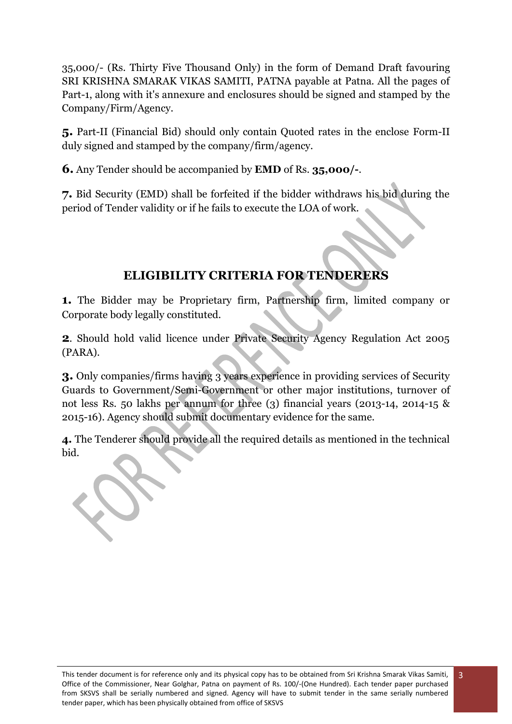35,000/- (Rs. Thirty Five Thousand Only) in the form of Demand Draft favouring SRI KRISHNA SMARAK VIKAS SAMITI, PATNA payable at Patna. All the pages of Part-1, along with it's annexure and enclosures should be signed and stamped by the Company/Firm/Agency.

**5.** Part-II (Financial Bid) should only contain Quoted rates in the enclose Form-II duly signed and stamped by the company/firm/agency.

**6.** Any Tender should be accompanied by **EMD** of Rs. **35,000/-**.

**7.** Bid Security (EMD) shall be forfeited if the bidder withdraws his bid during the period of Tender validity or if he fails to execute the LOA of work.

## **ELIGIBILITY CRITERIA FOR TENDERERS**

**1.** The Bidder may be Proprietary firm, Partnership firm, limited company or Corporate body legally constituted.

**2**. Should hold valid licence under Private Security Agency Regulation Act 2005 (PARA).

**3.** Only companies/firms having 3 years experience in providing services of Security Guards to Government/Semi-Government or other major institutions, turnover of not less Rs. 50 lakhs per annum for three (3) financial years (2013-14, 2014-15 & 2015-16). Agency should submit documentary evidence for the same.

**4.** The Tenderer should provide all the required details as mentioned in the technical bid.

3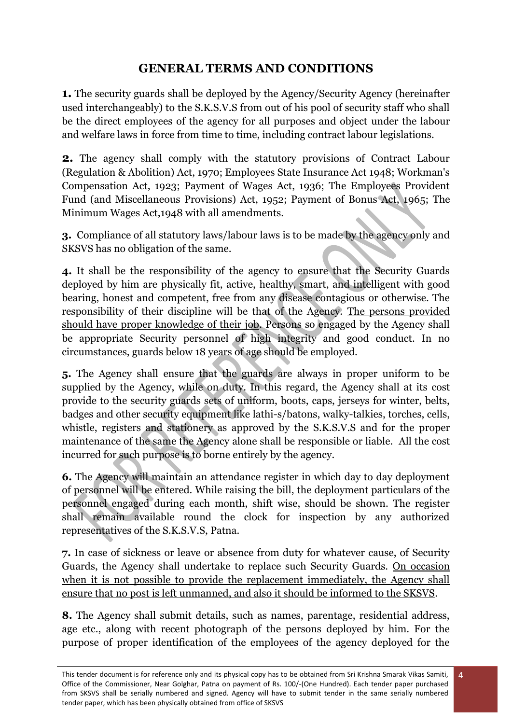## **GENERAL TERMS AND CONDITIONS**

**1.** The security guards shall be deployed by the Agency/Security Agency (hereinafter used interchangeably) to the S.K.S.V.S from out of his pool of security staff who shall be the direct employees of the agency for all purposes and object under the labour and welfare laws in force from time to time, including contract labour legislations.

**2.** The agency shall comply with the statutory provisions of Contract Labour (Regulation & Abolition) Act, 1970; Employees State Insurance Act 1948; Workman's Compensation Act, 1923; Payment of Wages Act, 1936; The Employees Provident Fund (and Miscellaneous Provisions) Act, 1952; Payment of Bonus Act, 1965; The Minimum Wages Act,1948 with all amendments.

**3.** Compliance of all statutory laws/labour laws is to be made by the agency only and SKSVS has no obligation of the same.

**4.** It shall be the responsibility of the agency to ensure that the Security Guards deployed by him are physically fit, active, healthy, smart, and intelligent with good bearing, honest and competent, free from any disease contagious or otherwise. The responsibility of their discipline will be that of the Agency. The persons provided should have proper knowledge of their job. Persons so engaged by the Agency shall be appropriate Security personnel of high integrity and good conduct. In no circumstances, guards below 18 years of age should be employed.

**5.** The Agency shall ensure that the guards are always in proper uniform to be supplied by the Agency, while on duty. In this regard, the Agency shall at its cost provide to the security guards sets of uniform, boots, caps, jerseys for winter, belts, badges and other security equipment like lathi-s/batons, walky-talkies, torches, cells, whistle, registers and stationery as approved by the S.K.S.V.S and for the proper maintenance of the same the Agency alone shall be responsible or liable. All the cost incurred for such purpose is to borne entirely by the agency.

**6.** The Agency will maintain an attendance register in which day to day deployment of personnel will be entered. While raising the bill, the deployment particulars of the personnel engaged during each month, shift wise, should be shown. The register shall remain available round the clock for inspection by any authorized representatives of the S.K.S.V.S, Patna.

**7.** In case of sickness or leave or absence from duty for whatever cause, of Security Guards, the Agency shall undertake to replace such Security Guards. On occasion when it is not possible to provide the replacement immediately, the Agency shall ensure that no post is left unmanned, and also it should be informed to the SKSVS.

**8.** The Agency shall submit details, such as names, parentage, residential address, age etc., along with recent photograph of the persons deployed by him. For the purpose of proper identification of the employees of the agency deployed for the

This tender document is for reference only and its physical copy has to be obtained from Sri Krishna Smarak Vikas Samiti, Office of the Commissioner, Near Golghar, Patna on payment of Rs. 100/-(One Hundred). Each tender paper purchased from SKSVS shall be serially numbered and signed. Agency will have to submit tender in the same serially numbered tender paper, which has been physically obtained from office of SKSVS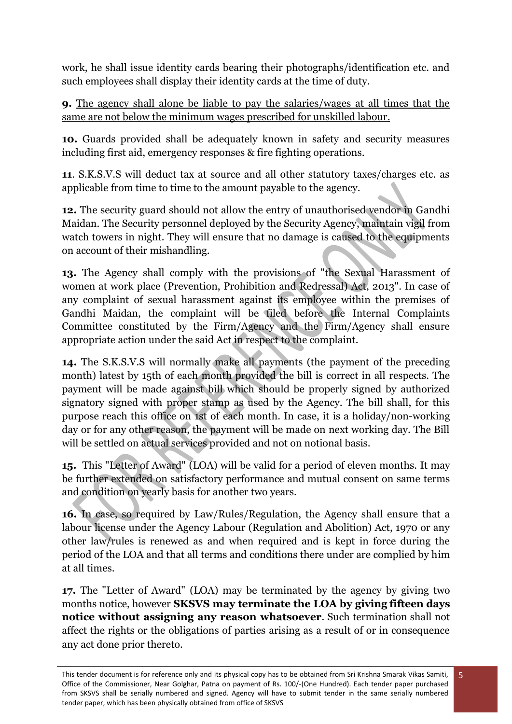work, he shall issue identity cards bearing their photographs/identification etc. and such employees shall display their identity cards at the time of duty.

**9.** The agency shall alone be liable to pay the salaries/wages at all times that the same are not below the minimum wages prescribed for unskilled labour.

**10.** Guards provided shall be adequately known in safety and security measures including first aid, emergency responses & fire fighting operations.

**11**. S.K.S.V.S will deduct tax at source and all other statutory taxes/charges etc. as applicable from time to time to the amount payable to the agency.

**12.** The security guard should not allow the entry of unauthorised vendor in Gandhi Maidan. The Security personnel deployed by the Security Agency, maintain vigil from watch towers in night. They will ensure that no damage is caused to the equipments on account of their mishandling.

**13.** The Agency shall comply with the provisions of "the Sexual Harassment of women at work place (Prevention, Prohibition and Redressal) Act, 2013". In case of any complaint of sexual harassment against its employee within the premises of Gandhi Maidan, the complaint will be filed before the Internal Complaints Committee constituted by the Firm/Agency and the Firm/Agency shall ensure appropriate action under the said Act in respect to the complaint.

**14.** The S.K.S.V.S will normally make all payments (the payment of the preceding month) latest by 15th of each month provided the bill is correct in all respects. The payment will be made against bill which should be properly signed by authorized signatory signed with proper stamp as used by the Agency. The bill shall, for this purpose reach this office on 1st of each month. In case, it is a holiday/non-working day or for any other reason, the payment will be made on next working day. The Bill will be settled on actual services provided and not on notional basis.

**15.** This "Letter of Award" (LOA) will be valid for a period of eleven months. It may be further extended on satisfactory performance and mutual consent on same terms and condition on yearly basis for another two years.

**16.** In case, so required by Law/Rules/Regulation, the Agency shall ensure that a labour license under the Agency Labour (Regulation and Abolition) Act, 1970 or any other law/rules is renewed as and when required and is kept in force during the period of the LOA and that all terms and conditions there under are complied by him at all times.

**17.** The "Letter of Award" (LOA) may be terminated by the agency by giving two months notice, however **SKSVS may terminate the LOA by giving fifteen days notice without assigning any reason whatsoever**. Such termination shall not affect the rights or the obligations of parties arising as a result of or in consequence any act done prior thereto.

This tender document is for reference only and its physical copy has to be obtained from Sri Krishna Smarak Vikas Samiti, Office of the Commissioner, Near Golghar, Patna on payment of Rs. 100/-(One Hundred). Each tender paper purchased from SKSVS shall be serially numbered and signed. Agency will have to submit tender in the same serially numbered tender paper, which has been physically obtained from office of SKSVS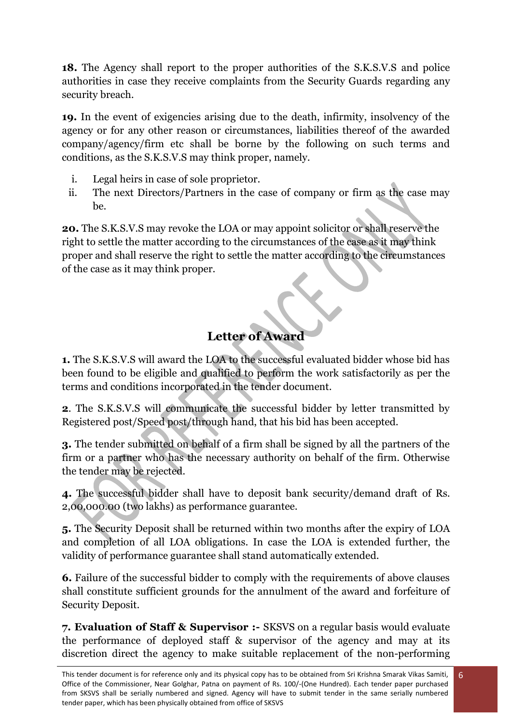**18.** The Agency shall report to the proper authorities of the S.K.S.V.S and police authorities in case they receive complaints from the Security Guards regarding any security breach.

**19.** In the event of exigencies arising due to the death, infirmity, insolvency of the agency or for any other reason or circumstances, liabilities thereof of the awarded company/agency/firm etc shall be borne by the following on such terms and conditions, as the S.K.S.V.S may think proper, namely.

- i. Legal heirs in case of sole proprietor.
- ii. The next Directors/Partners in the case of company or firm as the case may be.

**20.** The S.K.S.V.S may revoke the LOA or may appoint solicitor or shall reserve the right to settle the matter according to the circumstances of the case as it may think proper and shall reserve the right to settle the matter according to the circumstances of the case as it may think proper.

# **Letter of Award**

**1.** The S.K.S.V.S will award the LOA to the successful evaluated bidder whose bid has been found to be eligible and qualified to perform the work satisfactorily as per the terms and conditions incorporated in the tender document.

**2**. The S.K.S.V.S will communicate the successful bidder by letter transmitted by Registered post/Speed post/through hand, that his bid has been accepted.

**3.** The tender submitted on behalf of a firm shall be signed by all the partners of the firm or a partner who has the necessary authority on behalf of the firm. Otherwise the tender may be rejected.

**4.** The successful bidder shall have to deposit bank security/demand draft of Rs. 2,00,000.00 (two lakhs) as performance guarantee.

**5.** The Security Deposit shall be returned within two months after the expiry of LOA and completion of all LOA obligations. In case the LOA is extended further, the validity of performance guarantee shall stand automatically extended.

**6.** Failure of the successful bidder to comply with the requirements of above clauses shall constitute sufficient grounds for the annulment of the award and forfeiture of Security Deposit.

**7. Evaluation of Staff & Supervisor :-** SKSVS on a regular basis would evaluate the performance of deployed staff & supervisor of the agency and may at its discretion direct the agency to make suitable replacement of the non-performing

6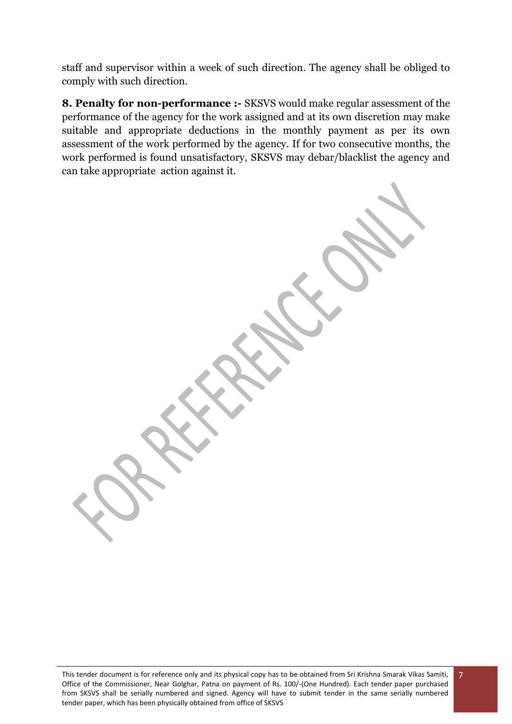staff and supervisor within a week of such direction. The agency shall be obliged to comply with such direction.

**8. Penalty for non-performance :-** SKSVS would make regular assessment of the performance of the agency for the work assigned and at its own discretion may make suitable and appropriate deductions in the monthly payment as per its own assessment of the work performed by the agency. If for two consecutive months, the work performed is found unsatisfactory, SKSVS may debar/blacklist the agency and can take appropriate action against it.

7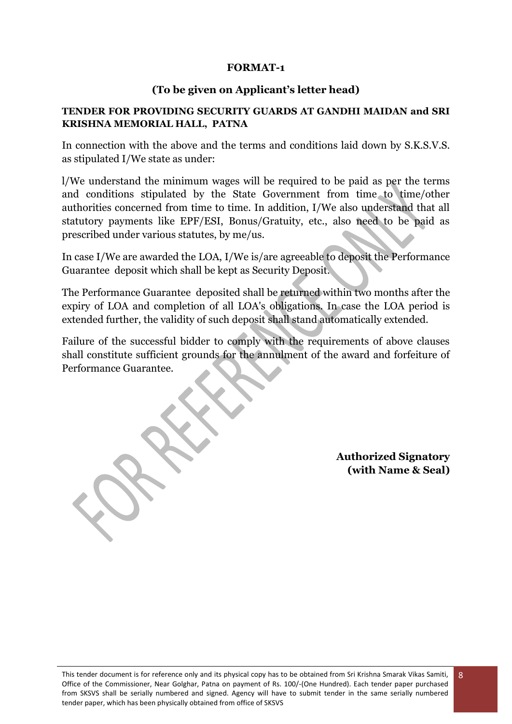### **FORMAT-1**

#### **(To be given on Applicant's letter head)**

#### **TENDER FOR PROVIDING SECURITY GUARDS AT GANDHI MAIDAN and SRI KRISHNA MEMORIAL HALL, PATNA**

In connection with the above and the terms and conditions laid down by S.K.S.V.S. as stipulated I/We state as under:

l/We understand the minimum wages will be required to be paid as per the terms and conditions stipulated by the State Government from time to time/other authorities concerned from time to time. In addition, I/We also understand that all statutory payments like EPF/ESI, Bonus/Gratuity, etc., also need to be paid as prescribed under various statutes, by me/us.

In case I/We are awarded the LOA, I/We is/are agreeable to deposit the Performance Guarantee deposit which shall be kept as Security Deposit.

The Performance Guarantee deposited shall be returned within two months after the expiry of LOA and completion of all LOA's obligations. In case the LOA period is extended further, the validity of such deposit shall stand automatically extended.

Failure of the successful bidder to comply with the requirements of above clauses shall constitute sufficient grounds for the annulment of the award and forfeiture of Performance Guarantee.

> **Authorized Signatory (with Name & Seal)**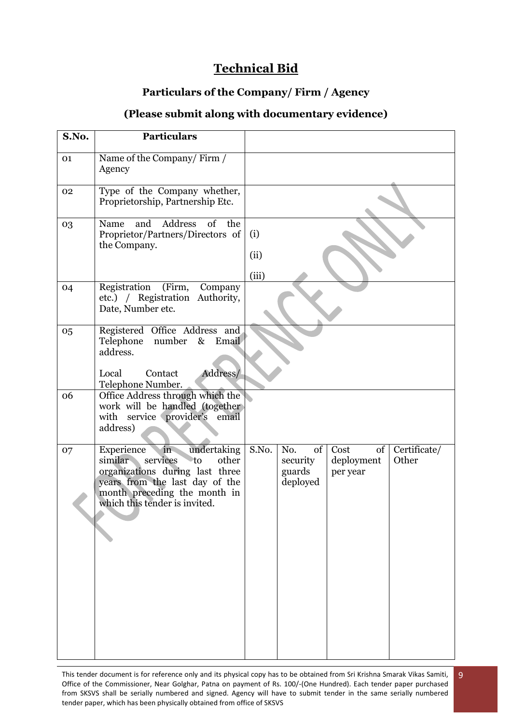## **Technical Bid**

## **Particulars of the Company/ Firm / Agency**

### **(Please submit along with documentary evidence)**

| S.No. | <b>Particulars</b>                                                                                                                                                                                          |                      |                                             |                                        |                       |
|-------|-------------------------------------------------------------------------------------------------------------------------------------------------------------------------------------------------------------|----------------------|---------------------------------------------|----------------------------------------|-----------------------|
| 01    | Name of the Company/Firm /<br>Agency                                                                                                                                                                        |                      |                                             |                                        |                       |
| 02    | Type of the Company whether,<br>Proprietorship, Partnership Etc.                                                                                                                                            |                      |                                             |                                        |                       |
| 03    | Address<br>of<br>Name<br>and<br>the<br>Proprietor/Partners/Directors of<br>the Company.                                                                                                                     | (i)<br>(ii)<br>(iii) |                                             |                                        |                       |
| 04    | (Firm,<br>Registration<br>Company<br>etc.) / Registration Authority,<br>Date, Number etc.                                                                                                                   |                      |                                             |                                        |                       |
| 05    | Registered Office Address and<br>number<br>Telephone<br>Email<br>$\&$<br>address.<br>Address/<br>Contact<br>Local<br>Telephone Number.                                                                      |                      |                                             |                                        |                       |
| 06    | Office Address through which the<br>work will be handled (together<br>with service provider's<br>email<br>address)                                                                                          |                      |                                             |                                        |                       |
| 07    | undertaking<br>in<br>Experience<br>similar<br>services<br>to<br>other<br>organizations during last three<br>years from the last day of the<br>month preceding the month in<br>which this tender is invited. | S.No.                | No.<br>of<br>security<br>guards<br>deployed | Cost<br>of  <br>deployment<br>per year | Certificate/<br>Other |

This tender document is for reference only and its physical copy has to be obtained from Sri Krishna Smarak Vikas Samiti, Office of the Commissioner, Near Golghar, Patna on payment of Rs. 100/-(One Hundred). Each tender paper purchased from SKSVS shall be serially numbered and signed. Agency will have to submit tender in the same serially numbered tender paper, which has been physically obtained from office of SKSVS 9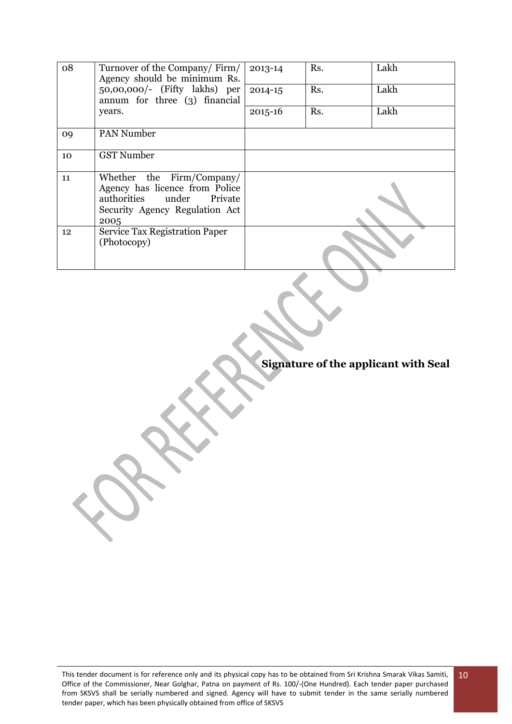| 08 | Turnover of the Company/Firm/<br>Agency should be minimum Rs.                                                                                | 2013-14     | Rs. | Lakh |
|----|----------------------------------------------------------------------------------------------------------------------------------------------|-------------|-----|------|
|    | $50,00,000/$ - (Fifty lakhs) per<br>annum for three (3) financial                                                                            | 2014-15     | Rs. | Lakh |
|    | years.                                                                                                                                       | $2015 - 16$ | Rs. | Lakh |
| 09 | <b>PAN Number</b>                                                                                                                            |             |     |      |
| 10 | <b>GST Number</b>                                                                                                                            |             |     |      |
| 11 | Whether the Firm/Company/<br>Agency has licence from Police<br>authorities under<br><b>Private</b><br>Security Agency Regulation Act<br>2005 |             |     |      |
| 12 | <b>Service Tax Registration Paper</b><br>(Photocopy)                                                                                         |             |     |      |

**Signature of the applicant with Seal**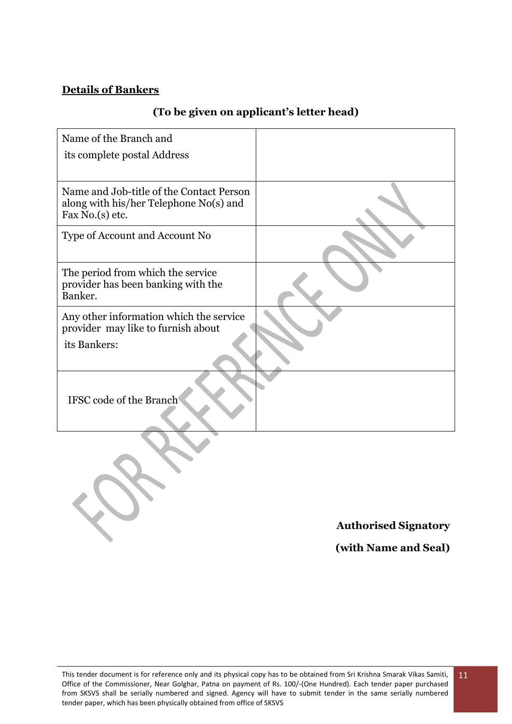### **Details of Bankers**

B

## **(To be given on applicant's letter head)**

| Name of the Branch and                                                                                |  |
|-------------------------------------------------------------------------------------------------------|--|
| its complete postal Address                                                                           |  |
|                                                                                                       |  |
| Name and Job-title of the Contact Person<br>along with his/her Telephone No(s) and<br>Fax No.(s) etc. |  |
| Type of Account and Account No                                                                        |  |
| The period from which the service<br>provider has been banking with the<br>Banker.                    |  |
| Any other information which the service<br>provider may like to furnish about                         |  |
| its Bankers:                                                                                          |  |
| IFSC code of the Branch                                                                               |  |
|                                                                                                       |  |

**Authorised Signatory** 

**(with Name and Seal)**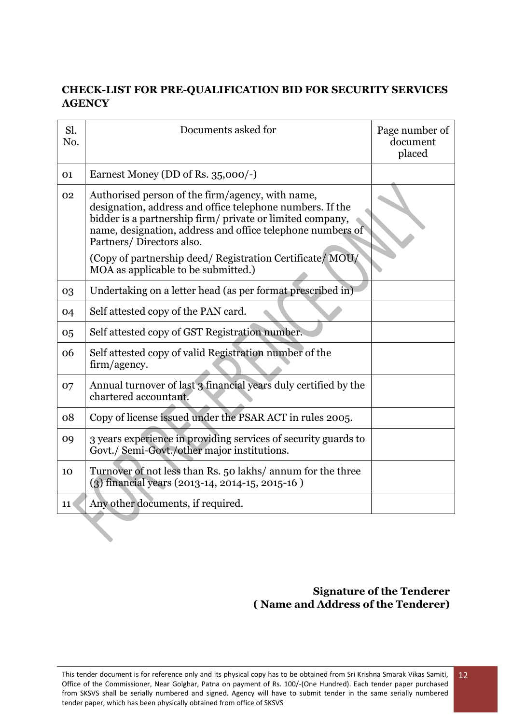### **CHECK-LIST FOR PRE-QUALIFICATION BID FOR SECURITY SERVICES AGENCY**

| Sl.<br>No. | Documents asked for                                                                                                                                                                                                                                                  | Page number of<br>document<br>placed |
|------------|----------------------------------------------------------------------------------------------------------------------------------------------------------------------------------------------------------------------------------------------------------------------|--------------------------------------|
| 01         | Earnest Money (DD of Rs. 35,000/-)                                                                                                                                                                                                                                   |                                      |
| 02         | Authorised person of the firm/agency, with name,<br>designation, address and office telephone numbers. If the<br>bidder is a partnership firm/ private or limited company,<br>name, designation, address and office telephone numbers of<br>Partners/Directors also. |                                      |
|            | (Copy of partnership deed/ Registration Certificate/ MOU/<br>MOA as applicable to be submitted.)                                                                                                                                                                     |                                      |
| 03         | Undertaking on a letter head (as per format prescribed in)                                                                                                                                                                                                           |                                      |
| 04         | Self attested copy of the PAN card.                                                                                                                                                                                                                                  |                                      |
| 05         | Self attested copy of GST Registration number.                                                                                                                                                                                                                       |                                      |
| 06         | Self attested copy of valid Registration number of the<br>firm/agency.                                                                                                                                                                                               |                                      |
| 07         | Annual turnover of last 3 financial years duly certified by the<br>chartered accountant.                                                                                                                                                                             |                                      |
| 08         | Copy of license issued under the PSAR ACT in rules 2005.                                                                                                                                                                                                             |                                      |
| 09         | 3 years experience in providing services of security guards to<br>Govt./ Semi-Govt./other major institutions.                                                                                                                                                        |                                      |
| 10         | Turnover of not less than Rs. 50 lakhs/ annum for the three<br>(3) financial years (2013-14, 2014-15, 2015-16)                                                                                                                                                       |                                      |
| 11         | Any other documents, if required.                                                                                                                                                                                                                                    |                                      |

## **Signature of the Tenderer ( Name and Address of the Tenderer)**